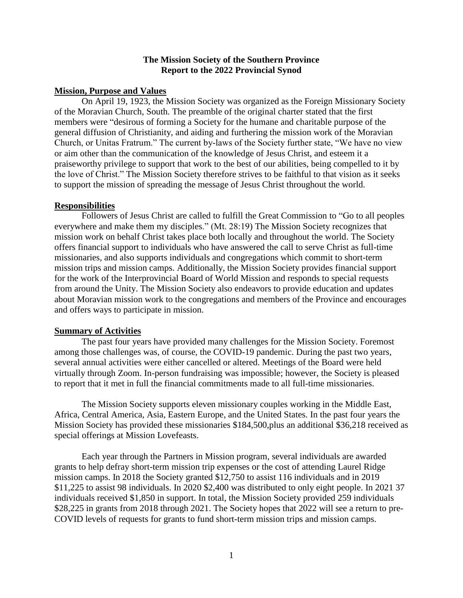## **The Mission Society of the Southern Province Report to the 2022 Provincial Synod**

### **Mission, Purpose and Values**

On April 19, 1923, the Mission Society was organized as the Foreign Missionary Society of the Moravian Church, South. The preamble of the original charter stated that the first members were "desirous of forming a Society for the humane and charitable purpose of the general diffusion of Christianity, and aiding and furthering the mission work of the Moravian Church, or Unitas Fratrum." The current by-laws of the Society further state, "We have no view or aim other than the communication of the knowledge of Jesus Christ, and esteem it a praiseworthy privilege to support that work to the best of our abilities, being compelled to it by the love of Christ." The Mission Society therefore strives to be faithful to that vision as it seeks to support the mission of spreading the message of Jesus Christ throughout the world.

#### **Responsibilities**

Followers of Jesus Christ are called to fulfill the Great Commission to "Go to all peoples everywhere and make them my disciples." (Mt. 28:19) The Mission Society recognizes that mission work on behalf Christ takes place both locally and throughout the world. The Society offers financial support to individuals who have answered the call to serve Christ as full-time missionaries, and also supports individuals and congregations which commit to short-term mission trips and mission camps. Additionally, the Mission Society provides financial support for the work of the Interprovincial Board of World Mission and responds to special requests from around the Unity. The Mission Society also endeavors to provide education and updates about Moravian mission work to the congregations and members of the Province and encourages and offers ways to participate in mission.

#### **Summary of Activities**

The past four years have provided many challenges for the Mission Society. Foremost among those challenges was, of course, the COVID-19 pandemic. During the past two years, several annual activities were either cancelled or altered. Meetings of the Board were held virtually through Zoom. In-person fundraising was impossible; however, the Society is pleased to report that it met in full the financial commitments made to all full-time missionaries.

The Mission Society supports eleven missionary couples working in the Middle East, Africa, Central America, Asia, Eastern Europe, and the United States. In the past four years the Mission Society has provided these missionaries \$184,500,plus an additional \$36,218 received as special offerings at Mission Lovefeasts.

Each year through the Partners in Mission program, several individuals are awarded grants to help defray short-term mission trip expenses or the cost of attending Laurel Ridge mission camps. In 2018 the Society granted \$12,750 to assist 116 individuals and in 2019 \$11,225 to assist 98 individuals. In 2020 \$2,400 was distributed to only eight people. In 2021 37 individuals received \$1,850 in support. In total, the Mission Society provided 259 individuals \$28,225 in grants from 2018 through 2021. The Society hopes that 2022 will see a return to pre-COVID levels of requests for grants to fund short-term mission trips and mission camps.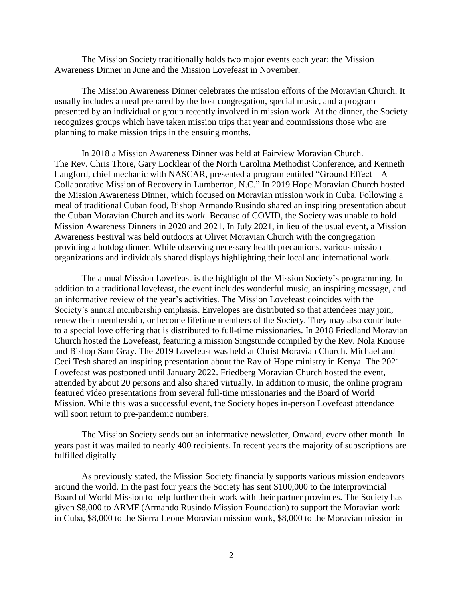The Mission Society traditionally holds two major events each year: the Mission Awareness Dinner in June and the Mission Lovefeast in November.

The Mission Awareness Dinner celebrates the mission efforts of the Moravian Church. It usually includes a meal prepared by the host congregation, special music, and a program presented by an individual or group recently involved in mission work. At the dinner, the Society recognizes groups which have taken mission trips that year and commissions those who are planning to make mission trips in the ensuing months.

In 2018 a Mission Awareness Dinner was held at Fairview Moravian Church. The Rev. Chris Thore, Gary Locklear of the North Carolina Methodist Conference, and Kenneth Langford, chief mechanic with NASCAR, presented a program entitled "Ground Effect—A Collaborative Mission of Recovery in Lumberton, N.C." In 2019 Hope Moravian Church hosted the Mission Awareness Dinner, which focused on Moravian mission work in Cuba. Following a meal of traditional Cuban food, Bishop Armando Rusindo shared an inspiring presentation about the Cuban Moravian Church and its work. Because of COVID, the Society was unable to hold Mission Awareness Dinners in 2020 and 2021. In July 2021, in lieu of the usual event, a Mission Awareness Festival was held outdoors at Olivet Moravian Church with the congregation providing a hotdog dinner. While observing necessary health precautions, various mission organizations and individuals shared displays highlighting their local and international work.

The annual Mission Lovefeast is the highlight of the Mission Society's programming. In addition to a traditional lovefeast, the event includes wonderful music, an inspiring message, and an informative review of the year's activities. The Mission Lovefeast coincides with the Society's annual membership emphasis. Envelopes are distributed so that attendees may join, renew their membership, or become lifetime members of the Society. They may also contribute to a special love offering that is distributed to full-time missionaries. In 2018 Friedland Moravian Church hosted the Lovefeast, featuring a mission Singstunde compiled by the Rev. Nola Knouse and Bishop Sam Gray. The 2019 Lovefeast was held at Christ Moravian Church. Michael and Ceci Tesh shared an inspiring presentation about the Ray of Hope ministry in Kenya. The 2021 Lovefeast was postponed until January 2022. Friedberg Moravian Church hosted the event, attended by about 20 persons and also shared virtually. In addition to music, the online program featured video presentations from several full-time missionaries and the Board of World Mission. While this was a successful event, the Society hopes in-person Lovefeast attendance will soon return to pre-pandemic numbers.

The Mission Society sends out an informative newsletter, Onward, every other month. In years past it was mailed to nearly 400 recipients. In recent years the majority of subscriptions are fulfilled digitally.

As previously stated, the Mission Society financially supports various mission endeavors around the world. In the past four years the Society has sent \$100,000 to the Interprovincial Board of World Mission to help further their work with their partner provinces. The Society has given \$8,000 to ARMF (Armando Rusindo Mission Foundation) to support the Moravian work in Cuba, \$8,000 to the Sierra Leone Moravian mission work, \$8,000 to the Moravian mission in